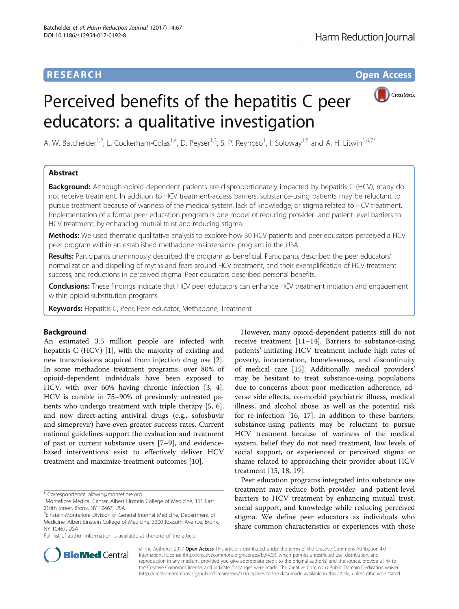# **RESEARCH CHE Open Access**

CrossMark

# Perceived benefits of the hepatitis C peer educators: a qualitative investigation

A. W. Batchelder<sup>1,2</sup>, L. Cockerham-Colas<sup>1,4</sup>, D. Peyser<sup>1,3</sup>, S. P. Reynoso<sup>1</sup>, I. Soloway<sup>1,5</sup> and A. H. Litwin<sup>1,6,7\*</sup>

## Abstract

**Background:** Although opioid-dependent patients are disproportionately impacted by hepatitis C (HCV), many do not receive treatment. In addition to HCV treatment-access barriers, substance-using patients may be reluctant to pursue treatment because of wariness of the medical system, lack of knowledge, or stigma related to HCV treatment. Implementation of a formal peer education program is one model of reducing provider- and patient-level barriers to HCV treatment, by enhancing mutual trust and reducing stigma.

Methods: We used thematic qualitative analysis to explore how 30 HCV patients and peer educators perceived a HCV peer program within an established methadone maintenance program in the USA.

Results: Participants unanimously described the program as beneficial. Participants described the peer educators' normalization and dispelling of myths and fears around HCV treatment, and their exemplification of HCV treatment success, and reductions in perceived stigma. Peer educators described personal benefits.

Conclusions: These findings indicate that HCV peer educators can enhance HCV treatment initiation and engagement within opioid substitution programs.

Keywords: Hepatitis C, Peer, Peer educator, Methadone, Treatment

## Background

An estimated 3.5 million people are infected with hepatitis C (HCV) [[1\]](#page-5-0), with the majority of existing and new transmissions acquired from injection drug use [\[2](#page-5-0)]. In some methadone treatment programs, over 80% of opioid-dependent individuals have been exposed to HCV, with over 60% having chronic infection [[3, 4](#page-5-0)]. HCV is curable in 75–90% of previously untreated patients who undergo treatment with triple therapy [[5](#page-5-0), [6](#page-5-0)], and now direct-acting antiviral drugs (e.g., sofosbuvir and simeprevir) have even greater success rates. Current national guidelines support the evaluation and treatment of past or current substance users [[7](#page-5-0)–[9](#page-5-0)], and evidencebased interventions exist to effectively deliver HCV treatment and maximize treatment outcomes [\[10](#page-5-0)].

\* Correspondence: [alitwin@montefiore.org](mailto:alitwin@montefiore.org) <sup>1</sup>

Full list of author information is available at the end of the article

However, many opioid-dependent patients still do not receive treatment [[11](#page-5-0)–[14](#page-5-0)]. Barriers to substance-using patients' initiating HCV treatment include high rates of poverty, incarceration, homelessness, and discontinuity of medical care [[15\]](#page-5-0). Additionally, medical providers' may be hesitant to treat substance-using populations due to concerns about poor medication adherence, adverse side effects, co-morbid psychiatric illness, medical illness, and alcohol abuse, as well as the potential risk for re-infection [[16,](#page-5-0) [17\]](#page-6-0). In addition to these barriers, substance-using patients may be reluctant to pursue HCV treatment because of wariness of the medical system, belief they do not need treatment, low levels of social support, or experienced or perceived stigma or shame related to approaching their provider about HCV treatment [[15,](#page-5-0) [18, 19](#page-6-0)].

Peer education programs integrated into substance use treatment may reduce both provider- and patient-level barriers to HCV treatment by enhancing mutual trust, social support, and knowledge while reducing perceived stigma. We define peer educators as individuals who share common characteristics or experiences with those



© The Author(s). 2017 **Open Access** This article is distributed under the terms of the Creative Commons Attribution 4.0 International License [\(http://creativecommons.org/licenses/by/4.0/](http://creativecommons.org/licenses/by/4.0/)), which permits unrestricted use, distribution, and reproduction in any medium, provided you give appropriate credit to the original author(s) and the source, provide a link to the Creative Commons license, and indicate if changes were made. The Creative Commons Public Domain Dedication waiver [\(http://creativecommons.org/publicdomain/zero/1.0/](http://creativecommons.org/publicdomain/zero/1.0/)) applies to the data made available in this article, unless otherwise stated.

<sup>&</sup>lt;sup>1</sup> Montefiore Medical Center, Albert Einstein College of Medicine, 111 East 210th Street, Bronx, NY 10467, USA

<sup>&</sup>lt;sup>6</sup>Einstein-Montefiore Division of General Internal Medicine, Department of Medicine, Albert Einstein College of Medicine, 3300 Kossuth Avenue, Bronx, NY 10467, USA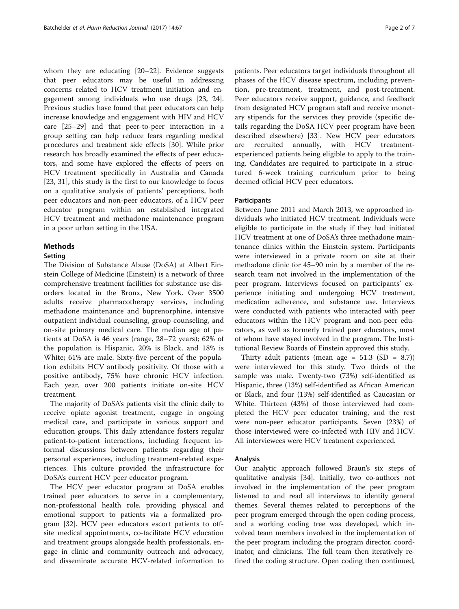whom they are educating [\[20](#page-6-0)–[22\]](#page-6-0). Evidence suggests that peer educators may be useful in addressing concerns related to HCV treatment initiation and engagement among individuals who use drugs [[23, 24](#page-6-0)]. Previous studies have found that peer educators can help increase knowledge and engagement with HIV and HCV care [\[25](#page-6-0)–[29\]](#page-6-0) and that peer-to-peer interaction in a group setting can help reduce fears regarding medical procedures and treatment side effects [\[30](#page-6-0)]. While prior research has broadly examined the effects of peer educators, and some have explored the effects of peers on HCV treatment specifically in Australia and Canada [[23, 31](#page-6-0)], this study is the first to our knowledge to focus on a qualitative analysis of patients' perceptions, both peer educators and non-peer educators, of a HCV peer educator program within an established integrated HCV treatment and methadone maintenance program in a poor urban setting in the USA.

## Methods

## Setting

The Division of Substance Abuse (DoSA) at Albert Einstein College of Medicine (Einstein) is a network of three comprehensive treatment facilities for substance use disorders located in the Bronx, New York. Over 3500 adults receive pharmacotherapy services, including methadone maintenance and buprenorphine, intensive outpatient individual counseling, group counseling, and on-site primary medical care. The median age of patients at DoSA is 46 years (range, 28–72 years); 62% of the population is Hispanic, 20% is Black, and 18% is White; 61% are male. Sixty-five percent of the population exhibits HCV antibody positivity. Of those with a positive antibody, 75% have chronic HCV infection. Each year, over 200 patients initiate on-site HCV treatment.

The majority of DoSA's patients visit the clinic daily to receive opiate agonist treatment, engage in ongoing medical care, and participate in various support and education groups. This daily attendance fosters regular patient-to-patient interactions, including frequent informal discussions between patients regarding their personal experiences, including treatment-related experiences. This culture provided the infrastructure for DoSA's current HCV peer educator program.

The HCV peer educator program at DoSA enables trained peer educators to serve in a complementary, non-professional health role, providing physical and emotional support to patients via a formalized program [\[32](#page-6-0)]. HCV peer educators escort patients to offsite medical appointments, co-facilitate HCV education and treatment groups alongside health professionals, engage in clinic and community outreach and advocacy, and disseminate accurate HCV-related information to

patients. Peer educators target individuals throughout all phases of the HCV disease spectrum, including prevention, pre-treatment, treatment, and post-treatment. Peer educators receive support, guidance, and feedback from designated HCV program staff and receive monetary stipends for the services they provide (specific details regarding the DoSA HCV peer program have been described elsewhere) [\[33](#page-6-0)]. New HCV peer educators are recruited annually, with HCV treatmentexperienced patients being eligible to apply to the training. Candidates are required to participate in a structured 6-week training curriculum prior to being deemed official HCV peer educators.

#### **Participants**

Between June 2011 and March 2013, we approached individuals who initiated HCV treatment. Individuals were eligible to participate in the study if they had initiated HCV treatment at one of DoSA's three methadone maintenance clinics within the Einstein system. Participants were interviewed in a private room on site at their methadone clinic for 45–90 min by a member of the research team not involved in the implementation of the peer program. Interviews focused on participants' experience initiating and undergoing HCV treatment, medication adherence, and substance use. Interviews were conducted with patients who interacted with peer educators within the HCV program and non-peer educators, as well as formerly trained peer educators, most of whom have stayed involved in the program. The Institutional Review Boards of Einstein approved this study.

Thirty adult patients (mean age =  $51.3$  (SD = 8.7)) were interviewed for this study. Two thirds of the sample was male. Twenty-two (73%) self-identified as Hispanic, three (13%) self-identified as African American or Black, and four (13%) self-identified as Caucasian or White. Thirteen (43%) of those interviewed had completed the HCV peer educator training, and the rest were non-peer educator participants. Seven (23%) of those interviewed were co-infected with HIV and HCV. All interviewees were HCV treatment experienced.

#### Analysis

Our analytic approach followed Braun's six steps of qualitative analysis [[34](#page-6-0)]. Initially, two co-authors not involved in the implementation of the peer program listened to and read all interviews to identify general themes. Several themes related to perceptions of the peer program emerged through the open coding process, and a working coding tree was developed, which involved team members involved in the implementation of the peer program including the program director, coordinator, and clinicians. The full team then iteratively refined the coding structure. Open coding then continued,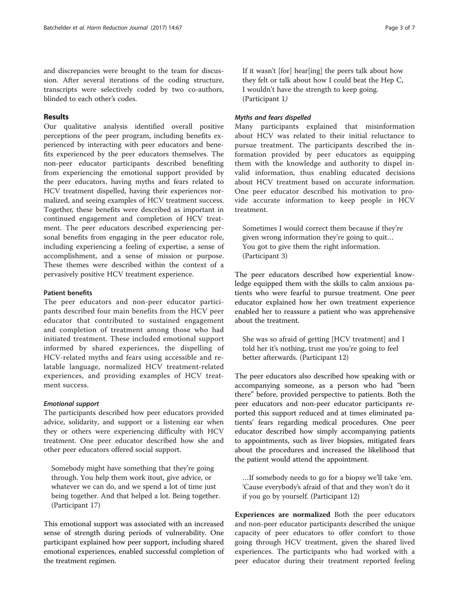and discrepancies were brought to the team for discussion. After several iterations of the coding structure, transcripts were selectively coded by two co-authors, blinded to each other's codes.

## Results

Our qualitative analysis identified overall positive perceptions of the peer program, including benefits experienced by interacting with peer educators and benefits experienced by the peer educators themselves. The non-peer educator participants described benefiting from experiencing the emotional support provided by the peer educators, having myths and fears related to HCV treatment dispelled, having their experiences normalized, and seeing examples of HCV treatment success. Together, these benefits were described as important in continued engagement and completion of HCV treatment. The peer educators described experiencing personal benefits from engaging in the peer educator role, including experiencing a feeling of expertise, a sense of accomplishment, and a sense of mission or purpose. These themes were described within the context of a pervasively positive HCV treatment experience.

#### Patient benefits

The peer educators and non-peer educator participants described four main benefits from the HCV peer educator that contributed to sustained engagement and completion of treatment among those who had initiated treatment. These included emotional support informed by shared experiences, the dispelling of HCV-related myths and fears using accessible and relatable language, normalized HCV treatment-related experiences, and providing examples of HCV treatment success.

#### Emotional support

The participants described how peer educators provided advice, solidarity, and support or a listening ear when they or others were experiencing difficulty with HCV treatment. One peer educator described how she and other peer educators offered social support.

Somebody might have something that they're going through. You help them work itout, give advice, or whatever we can do, and we spend a lot of time just being together. And that helped a lot. Being together. (Participant 17)

This emotional support was associated with an increased sense of strength during periods of vulnerability. One participant explained how peer support, including shared emotional experiences, enabled successful completion of the treatment regimen.

If it wasn't [for] hear[ing] the peers talk about how they felt or talk about how I could beat the Hep C, I wouldn't have the strength to keep going. (Participant 1)

## Myths and fears dispelled

Many participants explained that misinformation about HCV was related to their initial reluctance to pursue treatment. The participants described the information provided by peer educators as equipping them with the knowledge and authority to dispel invalid information, thus enabling educated decisions about HCV treatment based on accurate information. One peer educator described his motivation to provide accurate information to keep people in HCV treatment.

Sometimes I would correct them because if they're given wrong information they're going to quit… You got to give them the right information. (Participant 3)

The peer educators described how experiential knowledge equipped them with the skills to calm anxious patients who were fearful to pursue treatment. One peer educator explained how her own treatment experience enabled her to reassure a patient who was apprehensive about the treatment.

She was so afraid of getting [HCV treatment] and I told her it's nothing, trust me you're going to feel better afterwards. (Participant 12)

The peer educators also described how speaking with or accompanying someone, as a person who had "been there" before, provided perspective to patients. Both the peer educators and non-peer educator participants reported this support reduced and at times eliminated patients' fears regarding medical procedures. One peer educator described how simply accompanying patients to appointments, such as liver biopsies, mitigated fears about the procedures and increased the likelihood that the patient would attend the appointment.

…If somebody needs to go for a biopsy we'll take 'em. 'Cause everybody's afraid of that and they won't do it if you go by yourself. (Participant 12)

Experiences are normalized Both the peer educators and non-peer educator participants described the unique capacity of peer educators to offer comfort to those going through HCV treatment, given the shared lived experiences. The participants who had worked with a peer educator during their treatment reported feeling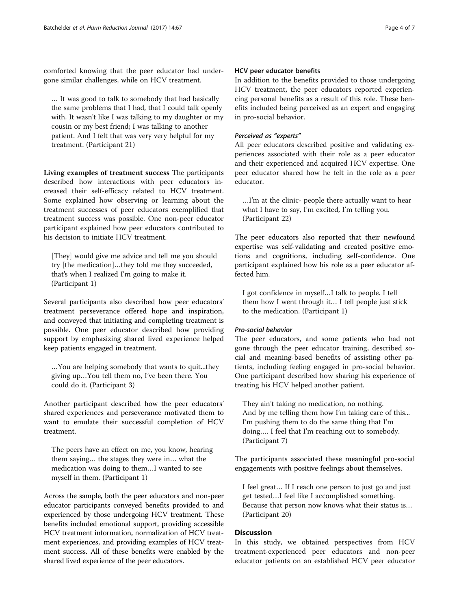comforted knowing that the peer educator had undergone similar challenges, while on HCV treatment.

… It was good to talk to somebody that had basically the same problems that I had, that I could talk openly with. It wasn't like I was talking to my daughter or my cousin or my best friend; I was talking to another patient. And I felt that was very very helpful for my treatment. (Participant 21)

Living examples of treatment success The participants described how interactions with peer educators increased their self-efficacy related to HCV treatment. Some explained how observing or learning about the treatment successes of peer educators exemplified that treatment success was possible. One non-peer educator participant explained how peer educators contributed to his decision to initiate HCV treatment.

[They] would give me advice and tell me you should try [the medication]…they told me they succeeded, that's when I realized I'm going to make it. (Participant 1)

Several participants also described how peer educators' treatment perseverance offered hope and inspiration, and conveyed that initiating and completing treatment is possible. One peer educator described how providing support by emphasizing shared lived experience helped keep patients engaged in treatment.

…You are helping somebody that wants to quit...they giving up…You tell them no, I've been there. You could do it. (Participant 3)

Another participant described how the peer educators' shared experiences and perseverance motivated them to want to emulate their successful completion of HCV treatment.

The peers have an effect on me, you know, hearing them saying… the stages they were in… what the medication was doing to them…I wanted to see myself in them. (Participant 1)

Across the sample, both the peer educators and non-peer educator participants conveyed benefits provided to and experienced by those undergoing HCV treatment. These benefits included emotional support, providing accessible HCV treatment information, normalization of HCV treatment experiences, and providing examples of HCV treatment success. All of these benefits were enabled by the shared lived experience of the peer educators.

## HCV peer educator benefits

In addition to the benefits provided to those undergoing HCV treatment, the peer educators reported experiencing personal benefits as a result of this role. These benefits included being perceived as an expert and engaging in pro-social behavior.

## Perceived as "experts"

All peer educators described positive and validating experiences associated with their role as a peer educator and their experienced and acquired HCV expertise. One peer educator shared how he felt in the role as a peer educator.

…I'm at the clinic- people there actually want to hear what I have to say, I'm excited, I'm telling you. (Participant 22)

The peer educators also reported that their newfound expertise was self-validating and created positive emotions and cognitions, including self-confidence. One participant explained how his role as a peer educator affected him.

I got confidence in myself…I talk to people. I tell them how I went through it… I tell people just stick to the medication. (Participant 1)

## Pro-social behavior

The peer educators, and some patients who had not gone through the peer educator training, described social and meaning-based benefits of assisting other patients, including feeling engaged in pro-social behavior. One participant described how sharing his experience of treating his HCV helped another patient.

They ain't taking no medication, no nothing. And by me telling them how I'm taking care of this... I'm pushing them to do the same thing that I'm doing…. I feel that I'm reaching out to somebody. (Participant 7)

The participants associated these meaningful pro-social engagements with positive feelings about themselves.

I feel great… If I reach one person to just go and just get tested…I feel like I accomplished something. Because that person now knows what their status is… (Participant 20)

## **Discussion**

In this study, we obtained perspectives from HCV treatment-experienced peer educators and non-peer educator patients on an established HCV peer educator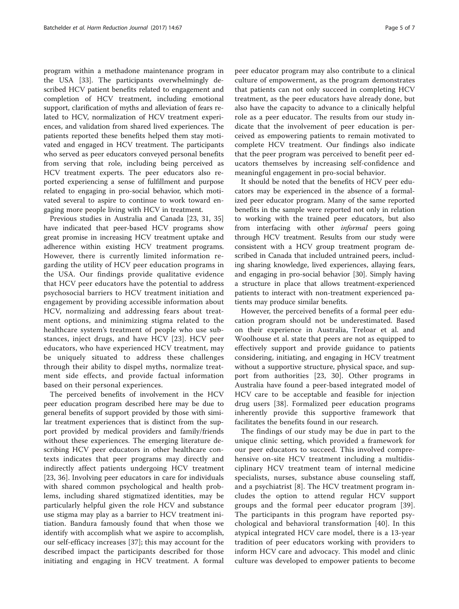program within a methadone maintenance program in the USA [[33\]](#page-6-0). The participants overwhelmingly described HCV patient benefits related to engagement and completion of HCV treatment, including emotional support, clarification of myths and alleviation of fears related to HCV, normalization of HCV treatment experiences, and validation from shared lived experiences. The patients reported these benefits helped them stay motivated and engaged in HCV treatment. The participants who served as peer educators conveyed personal benefits from serving that role, including being perceived as HCV treatment experts. The peer educators also reported experiencing a sense of fulfillment and purpose related to engaging in pro-social behavior, which motivated several to aspire to continue to work toward engaging more people living with HCV in treatment.

Previous studies in Australia and Canada [[23](#page-6-0), [31](#page-6-0), [35](#page-6-0)] have indicated that peer-based HCV programs show great promise in increasing HCV treatment uptake and adherence within existing HCV treatment programs. However, there is currently limited information regarding the utility of HCV peer education programs in the USA. Our findings provide qualitative evidence that HCV peer educators have the potential to address psychosocial barriers to HCV treatment initiation and engagement by providing accessible information about HCV, normalizing and addressing fears about treatment options, and minimizing stigma related to the healthcare system's treatment of people who use substances, inject drugs, and have HCV [[23](#page-6-0)]. HCV peer educators, who have experienced HCV treatment, may be uniquely situated to address these challenges through their ability to dispel myths, normalize treatment side effects, and provide factual information based on their personal experiences.

The perceived benefits of involvement in the HCV peer education program described here may be due to general benefits of support provided by those with similar treatment experiences that is distinct from the support provided by medical providers and family/friends without these experiences. The emerging literature describing HCV peer educators in other healthcare contexts indicates that peer programs may directly and indirectly affect patients undergoing HCV treatment [[23, 36](#page-6-0)]. Involving peer educators in care for individuals with shared common psychological and health problems, including shared stigmatized identities, may be particularly helpful given the role HCV and substance use stigma may play as a barrier to HCV treatment initiation. Bandura famously found that when those we identify with accomplish what we aspire to accomplish, our self-efficacy increases [[37\]](#page-6-0); this may account for the described impact the participants described for those initiating and engaging in HCV treatment. A formal

peer educator program may also contribute to a clinical culture of empowerment, as the program demonstrates that patients can not only succeed in completing HCV treatment, as the peer educators have already done, but also have the capacity to advance to a clinically helpful role as a peer educator. The results from our study indicate that the involvement of peer education is perceived as empowering patients to remain motivated to complete HCV treatment. Our findings also indicate that the peer program was perceived to benefit peer educators themselves by increasing self-confidence and meaningful engagement in pro-social behavior.

It should be noted that the benefits of HCV peer educators may be experienced in the absence of a formalized peer educator program. Many of the same reported benefits in the sample were reported not only in relation to working with the trained peer educators, but also from interfacing with other *informal* peers going through HCV treatment. Results from our study were consistent with a HCV group treatment program described in Canada that included untrained peers, including sharing knowledge, lived experiences, allaying fears, and engaging in pro-social behavior [\[30](#page-6-0)]. Simply having a structure in place that allows treatment-experienced patients to interact with non-treatment experienced patients may produce similar benefits.

However, the perceived benefits of a formal peer education program should not be underestimated. Based on their experience in Australia, Treloar et al. and Woolhouse et al. state that peers are not as equipped to effectively support and provide guidance to patients considering, initiating, and engaging in HCV treatment without a supportive structure, physical space, and support from authorities [[23, 30](#page-6-0)]. Other programs in Australia have found a peer-based integrated model of HCV care to be acceptable and feasible for injection drug users [[38\]](#page-6-0). Formalized peer education programs inherently provide this supportive framework that facilitates the benefits found in our research.

The findings of our study may be due in part to the unique clinic setting, which provided a framework for our peer educators to succeed. This involved comprehensive on-site HCV treatment including a multidisciplinary HCV treatment team of internal medicine specialists, nurses, substance abuse counseling staff, and a psychiatrist [\[8](#page-5-0)]. The HCV treatment program includes the option to attend regular HCV support groups and the formal peer educator program [[39](#page-6-0)]. The participants in this program have reported psychological and behavioral transformation [[40](#page-6-0)]. In this atypical integrated HCV care model, there is a 13-year tradition of peer educators working with providers to inform HCV care and advocacy. This model and clinic culture was developed to empower patients to become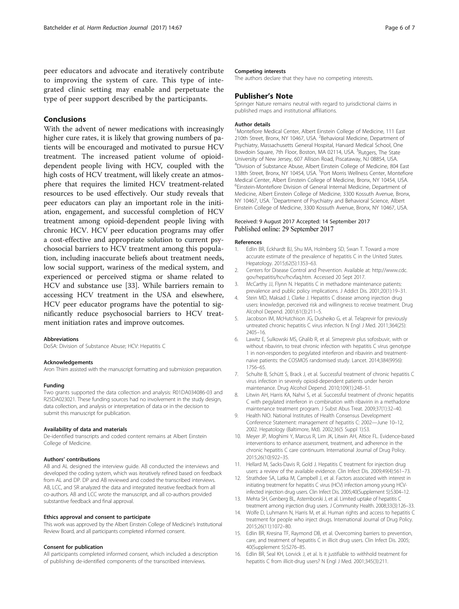<span id="page-5-0"></span>peer educators and advocate and iteratively contribute to improving the system of care. This type of integrated clinic setting may enable and perpetuate the type of peer support described by the participants.

## Conclusions

With the advent of newer medications with increasingly higher cure rates, it is likely that growing numbers of patients will be encouraged and motivated to pursue HCV treatment. The increased patient volume of opioiddependent people living with HCV, coupled with the high costs of HCV treatment, will likely create an atmosphere that requires the limited HCV treatment-related resources to be used effectively. Our study reveals that peer educators can play an important role in the initiation, engagement, and successful completion of HCV treatment among opioid-dependent people living with chronic HCV. HCV peer education programs may offer a cost-effective and appropriate solution to current psychosocial barriers to HCV treatment among this population, including inaccurate beliefs about treatment needs, low social support, wariness of the medical system, and experienced or perceived stigma or shame related to HCV and substance use [[33](#page-6-0)]. While barriers remain to accessing HCV treatment in the USA and elsewhere, HCV peer educator programs have the potential to significantly reduce psychosocial barriers to HCV treatment initiation rates and improve outcomes.

#### Abbreviations

DoSA: Division of Substance Abuse; HCV: Hepatitis C

#### Acknowledgements

Aron Thiim assisted with the manuscript formatting and submission preparation.

#### Funding

Two grants supported the data collection and analysis: R01DA034086-03 and R25DA023021. These funding sources had no involvement in the study design, data collection, and analysis or interpretation of data or in the decision to submit this manuscript for publication.

#### Availability of data and materials

De-identified transcripts and coded content remains at Albert Einstein College of Medicine.

#### Authors' contributions

AB and AL designed the interview guide. AB conducted the interviews and developed the coding system, which was iteratively refined based on feedback from AL and DP. DP and AB reviewed and coded the transcribed interviews. AB, LCC, and SR analyzed the data and integrated iterative feedback from all co-authors. AB and LCC wrote the manuscript, and all co-authors provided substantive feedback and final approval.

#### Ethics approval and consent to participate

This work was approved by the Albert Einstein College of Medicine's Institutional Review Board, and all participants completed informed consent.

#### Consent for publication

All participants completed informed consent, which included a description of publishing de-identified components of the transcribed interviews.

#### Competing interests

The authors declare that they have no competing interests.

#### Publisher's Note

Springer Nature remains neutral with regard to jurisdictional claims in published maps and institutional affiliations.

#### Author details

<sup>1</sup>Montefiore Medical Center, Albert Einstein College of Medicine, 111 East 210th Street, Bronx, NY 10467, USA. <sup>2</sup>Behavioral Medicine, Department of Psychiatry, Massachusetts General Hospital, Harvard Medical School, One Bowdoin Square, 7th Floor, Boston, MA 02114, USA. <sup>3</sup>Rutgers, The State University of New Jersey, 607 Allison Road, Piscataway, NJ 08854, USA. 4 Division of Substance Abuse, Albert Einstein College of Medicine, 804 East 138th Street, Bronx, NY 10454, USA. <sup>5</sup>Port Morris Wellness Center, Montefiore Medical Center, Albert Einstein College of Medicine, Bronx, NY 10454, USA. 6 Einstein-Montefiore Division of General Internal Medicine, Department of Medicine, Albert Einstein College of Medicine, 3300 Kossuth Avenue, Bronx, NY 10467, USA. <sup>7</sup>Department of Psychiatry and Behavioral Science, Albert Einstein College of Medicine, 3300 Kossuth Avenue, Bronx, NY 10467, USA.

#### Received: 9 August 2017 Accepted: 14 September 2017 Published online: 29 September 2017

#### References

- 1. Edlin BR, Eckhardt BJ, Shu MA, Holmberg SD, Swan T. Toward a more accurate estimate of the prevalence of hepatitis C in the United States. Hepatology. 2015;62(5):1353–63.
- 2. Centers for Disease Control and Prevention. Available at: [http://www.cdc.](http://www.cdc.gov/hepatitis/hcv/hcvfaq.htm) [gov/hepatitis/hcv/hcvfaq.htm.](http://www.cdc.gov/hepatitis/hcv/hcvfaq.htm) Accessed 20 Sept 2017.
- 3. McCarthy JJ, Flynn N. Hepatitis C in methadone maintenance patients: prevalence and public policy implications. J Addict Dis. 2001;20(1):19–31.
- 4. Stein MD, Maksad J, Clarke J. Hepatitis C disease among injection drug users: knowledge, perceived risk and willingness to receive treatment. Drug Alcohol Depend. 2001;61(3):211–5.
- 5. Jacobson IM, McHutchison JG, Dusheiko G, et al. Telaprevir for previously untreated chronic hepatitis C virus infection. N Engl J Med. 2011;364(25): 2405–16.
- 6. Lawitz E, Sulkowski MS, Ghalib R, et al. Simeprevir plus sofosbuvir, with or without ribavirin, to treat chronic infection with hepatitis C virus genotype 1 in non-responders to pegylated interferon and ribavirin and treatmentnaive patients: the COSMOS randomised study. Lancet. 2014;384(9956): 1756–65.
- 7. Schulte B, Schütt S, Brack J, et al. Successful treatment of chronic hepatitis C virus infection in severely opioid-dependent patients under heroin maintenance. Drug Alcohol Depend. 2010;109(1):248–51.
- 8. Litwin AH, Harris KA, Nahvi S, et al. Successful treatment of chronic hepatitis C with pegylated interferon in combination with ribavirin in a methadone maintenance treatment program. J Subst Abus Treat. 2009;37(1):32–40.
- 9. Health NIO. National Institutes of Health Consensus Development Conference Statement: management of hepatitis C: 2002—June 10–12, 2002. Hepatology (Baltimore, Md). 2002;36(5 Suppl 1):S3.
- 10. Meyer JP, Moghimi Y, Marcus R, Lim JK, Litwin AH, Altice FL. Evidence-based interventions to enhance assessment, treatment, and adherence in the chronic hepatitis C care continuum. International Journal of Drug Policy. 2015;26(10):922–35.
- 11. Hellard M, Sacks-Davis R, Gold J. Hepatitis C treatment for injection drug users: a review of the available evidence. Clin Infect Dis. 2009;49(4):561–73.
- 12. Strathdee SA, Latka M, Campbell J, et al. Factors associated with interest in initiating treatment for hepatitis C virus (HCV) infection among young HCVinfected injection drug users. Clin Infect Dis. 2005;40(Supplement 5):S304–12.
- 13. Mehta SH, Genberg BL, Astemborski J, et al. Limited uptake of hepatitis C treatment among injection drug users. J Community Health. 2008;33(3):126–33.
- 14. Wolfe D, Luhmann N, Harris M, et al. Human rights and access to hepatitis C treatment for people who inject drugs. International Journal of Drug Policy. 2015;26(11):1072–80.
- 15. Edlin BR, Kresina TF, Raymond DB, et al. Overcoming barriers to prevention, care, and treatment of hepatitis C in illicit drug users. Clin Infect Dis. 2005; 40(Supplement 5):S276–85.
- 16. Edlin BR, Seal KH, Lorvick J, et al. Is it justifiable to withhold treatment for hepatitis C from illicit-drug users? N Engl J Med. 2001;345(3):211.